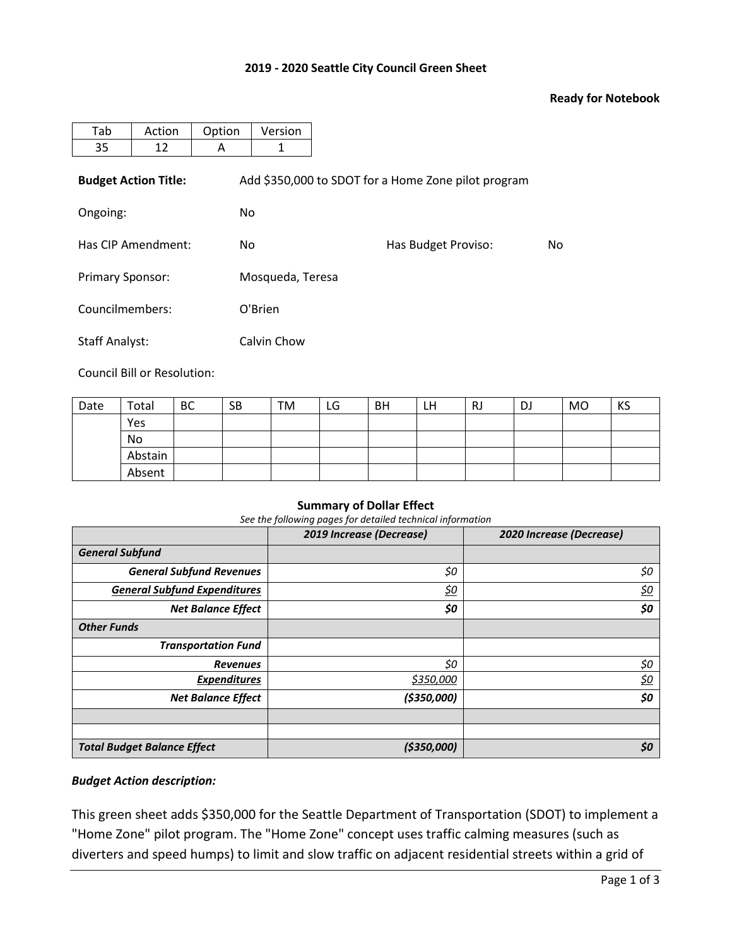# **2019 - 2020 Seattle City Council Green Sheet**

### **Ready for Notebook**

| Tab                     | Action                      | Option | Version                                             |                     |    |  |  |  |  |  |
|-------------------------|-----------------------------|--------|-----------------------------------------------------|---------------------|----|--|--|--|--|--|
| 35                      | 12                          | A      | 1                                                   |                     |    |  |  |  |  |  |
|                         | <b>Budget Action Title:</b> |        | Add \$350,000 to SDOT for a Home Zone pilot program |                     |    |  |  |  |  |  |
| Ongoing:                |                             |        | No.                                                 |                     |    |  |  |  |  |  |
| Has CIP Amendment:      |                             | No.    |                                                     | Has Budget Proviso: | No |  |  |  |  |  |
| <b>Primary Sponsor:</b> |                             |        | Mosqueda, Teresa                                    |                     |    |  |  |  |  |  |
| Councilmembers:         |                             |        | O'Brien                                             |                     |    |  |  |  |  |  |
| <b>Staff Analyst:</b>   |                             |        | Calvin Chow                                         |                     |    |  |  |  |  |  |

Council Bill or Resolution:

| Date | Total   | <b>BC</b> | <b>SB</b> | TM | LG | BH | LН | RJ | DJ | MO | KS |
|------|---------|-----------|-----------|----|----|----|----|----|----|----|----|
|      | Yes     |           |           |    |    |    |    |    |    |    |    |
|      | No      |           |           |    |    |    |    |    |    |    |    |
|      | Abstain |           |           |    |    |    |    |    |    |    |    |
|      | Absent  |           |           |    |    |    |    |    |    |    |    |

#### **Summary of Dollar Effect**

*See the following pages for detailed technical information*

|                                     | 2019 Increase (Decrease) | 2020 Increase (Decrease) |
|-------------------------------------|--------------------------|--------------------------|
| <b>General Subfund</b>              |                          |                          |
| <b>General Subfund Revenues</b>     | \$0                      | \$0                      |
| <b>General Subfund Expenditures</b> | <u>\$0</u>               | <u>\$0</u>               |
| <b>Net Balance Effect</b>           | \$0                      | \$0                      |
| <b>Other Funds</b>                  |                          |                          |
| <b>Transportation Fund</b>          |                          |                          |
| <b>Revenues</b>                     | \$0                      | \$0                      |
| <b>Expenditures</b>                 | \$350,000                | <u>\$0</u>               |
| <b>Net Balance Effect</b>           | (\$350,000)              | \$0                      |
|                                     |                          |                          |
|                                     |                          |                          |
| <b>Total Budget Balance Effect</b>  | ( \$350,000]             | \$0                      |

#### *Budget Action description:*

This green sheet adds \$350,000 for the Seattle Department of Transportation (SDOT) to implement a "Home Zone" pilot program. The "Home Zone" concept uses traffic calming measures (such as diverters and speed humps) to limit and slow traffic on adjacent residential streets within a grid of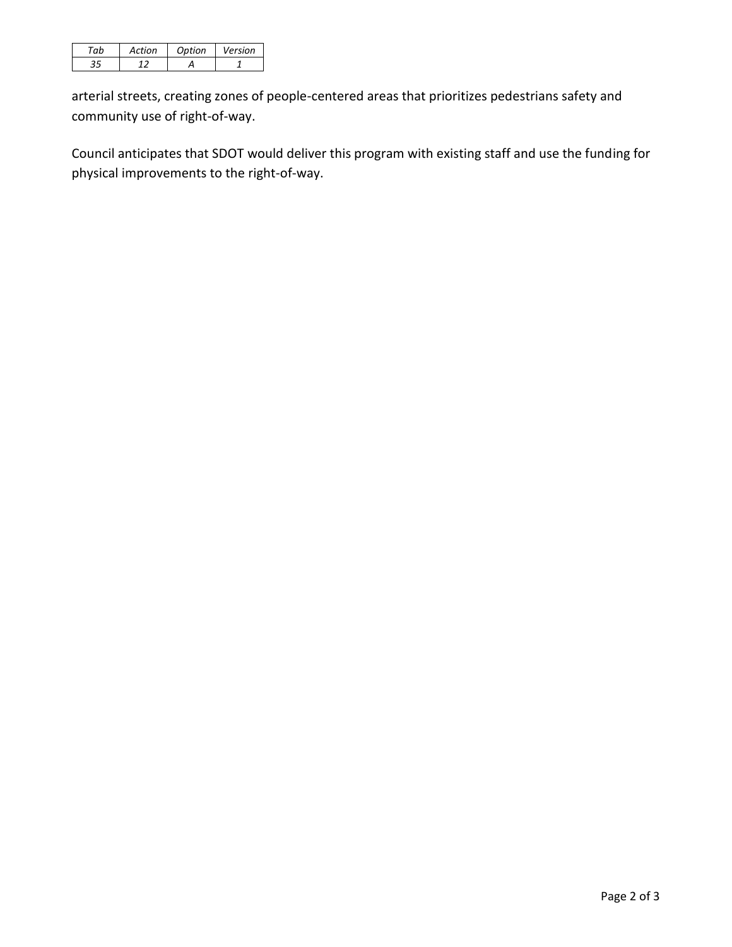| Artion | Ontion | Version |
|--------|--------|---------|
|        |        |         |

arterial streets, creating zones of people-centered areas that prioritizes pedestrians safety and community use of right-of-way.

Council anticipates that SDOT would deliver this program with existing staff and use the funding for physical improvements to the right-of-way.